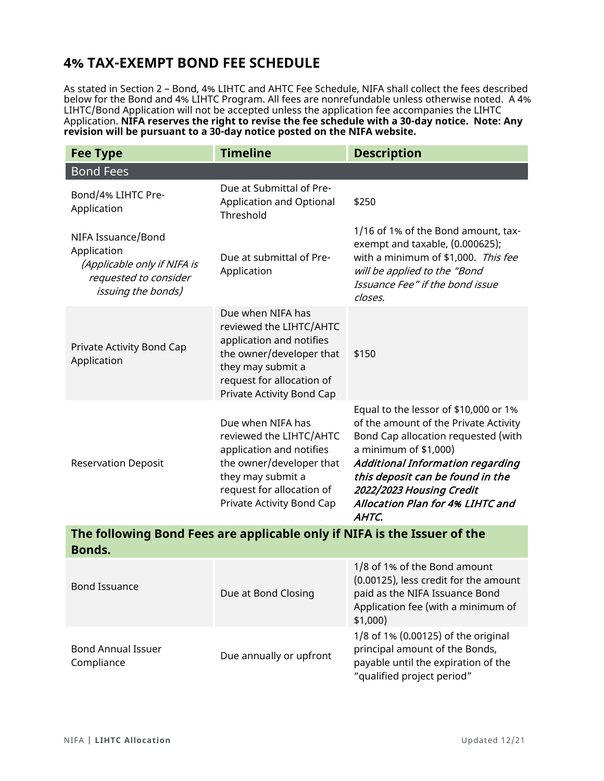## **4% TAX-EXEMPT BOND FEE SCHEDULE**

As stated in Section 2 – Bond, 4% LIHTC and AHTC Fee Schedule, NIFA shall collect the fees described below for the Bond and 4% LIHTC Program. All fees are nonrefundable unless otherwise noted. A 4% LIHTC/Bond Application will not be accepted unless the application fee accompanies the LIHTC Application. **NIFA reserves the right to revise the fee schedule with a 30-day notice. Note: Any revision will be pursuant to a 30-day notice posted on the NIFA website.**

| <b>Fee Type</b>                                                                                                        | <b>Timeline</b>                                                                                                                                                                     | <b>Description</b>                                                                                                                                                                                                                                                                                     |  |  |
|------------------------------------------------------------------------------------------------------------------------|-------------------------------------------------------------------------------------------------------------------------------------------------------------------------------------|--------------------------------------------------------------------------------------------------------------------------------------------------------------------------------------------------------------------------------------------------------------------------------------------------------|--|--|
| <b>Bond Fees</b>                                                                                                       |                                                                                                                                                                                     |                                                                                                                                                                                                                                                                                                        |  |  |
| Bond/4% LIHTC Pre-<br>Application                                                                                      | Due at Submittal of Pre-<br>Application and Optional<br>Threshold                                                                                                                   | \$250                                                                                                                                                                                                                                                                                                  |  |  |
| NIFA Issuance/Bond<br>Application<br>(Applicable only if NIFA is<br>requested to consider<br><i>issuing the bonds)</i> | Due at submittal of Pre-<br>Application                                                                                                                                             | 1/16 of 1% of the Bond amount, tax-<br>exempt and taxable, (0.000625);<br>with a minimum of \$1,000. This fee<br>will be applied to the "Bond<br>Issuance Fee" if the bond issue<br>closes.                                                                                                            |  |  |
| Private Activity Bond Cap<br>Application                                                                               | Due when NIFA has<br>reviewed the LIHTC/AHTC<br>application and notifies<br>the owner/developer that<br>they may submit a<br>request for allocation of<br>Private Activity Bond Cap | \$150                                                                                                                                                                                                                                                                                                  |  |  |
| <b>Reservation Deposit</b>                                                                                             | Due when NIFA has<br>reviewed the LIHTC/AHTC<br>application and notifies<br>the owner/developer that<br>they may submit a<br>request for allocation of<br>Private Activity Bond Cap | Equal to the lessor of \$10,000 or 1%<br>of the amount of the Private Activity<br>Bond Cap allocation requested (with<br>a minimum of \$1,000)<br><b>Additional Information regarding</b><br>this deposit can be found in the<br>2022/2023 Housing Credit<br>Allocation Plan for 4% LIHTC and<br>AHTC. |  |  |
| The following Bond Fees are applicable only if NIFA is the Issuer of the                                               |                                                                                                                                                                                     |                                                                                                                                                                                                                                                                                                        |  |  |
| Bonds.                                                                                                                 |                                                                                                                                                                                     |                                                                                                                                                                                                                                                                                                        |  |  |
| <b>Bond Issuance</b>                                                                                                   | Due at Bond Closing                                                                                                                                                                 | 1/8 of 1% of the Bond amount<br>(0.00125), less credit for the amount<br>paid as the NIFA Issuance Bond<br>Application fee (with a minimum of<br>$$1,000$ )                                                                                                                                            |  |  |
|                                                                                                                        |                                                                                                                                                                                     | 1/8 of 1% (0.00125) of the original                                                                                                                                                                                                                                                                    |  |  |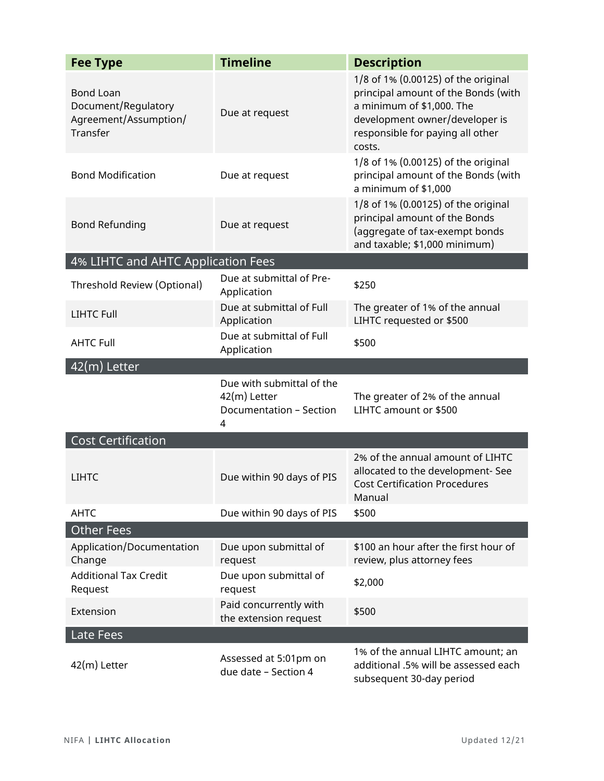| <b>Fee Type</b>                                                              | <b>Timeline</b>                                                           | <b>Description</b>                                                                                                                                                                      |
|------------------------------------------------------------------------------|---------------------------------------------------------------------------|-----------------------------------------------------------------------------------------------------------------------------------------------------------------------------------------|
| <b>Bond Loan</b><br>Document/Regulatory<br>Agreement/Assumption/<br>Transfer | Due at request                                                            | 1/8 of 1% (0.00125) of the original<br>principal amount of the Bonds (with<br>a minimum of \$1,000. The<br>development owner/developer is<br>responsible for paying all other<br>costs. |
| <b>Bond Modification</b>                                                     | Due at request                                                            | 1/8 of 1% (0.00125) of the original<br>principal amount of the Bonds (with<br>a minimum of \$1,000                                                                                      |
| <b>Bond Refunding</b>                                                        | Due at request                                                            | 1/8 of 1% (0.00125) of the original<br>principal amount of the Bonds<br>(aggregate of tax-exempt bonds<br>and taxable; \$1,000 minimum)                                                 |
| 4% LIHTC and AHTC Application Fees                                           |                                                                           |                                                                                                                                                                                         |
| Threshold Review (Optional)                                                  | Due at submittal of Pre-<br>Application                                   | \$250                                                                                                                                                                                   |
| <b>LIHTC Full</b>                                                            | Due at submittal of Full<br>Application                                   | The greater of 1% of the annual<br>LIHTC requested or \$500                                                                                                                             |
| <b>AHTC Full</b>                                                             | Due at submittal of Full<br>Application                                   | \$500                                                                                                                                                                                   |
| 42(m) Letter                                                                 |                                                                           |                                                                                                                                                                                         |
|                                                                              | Due with submittal of the<br>42(m) Letter<br>Documentation - Section<br>4 | The greater of 2% of the annual<br>LIHTC amount or \$500                                                                                                                                |
| <b>Cost Certification</b>                                                    |                                                                           |                                                                                                                                                                                         |
| <b>LIHTC</b>                                                                 | Due within 90 days of PIS                                                 | 2% of the annual amount of LIHTC<br>allocated to the development- See<br><b>Cost Certification Procedures</b><br>Manual                                                                 |
| <b>AHTC</b>                                                                  | Due within 90 days of PIS                                                 | \$500                                                                                                                                                                                   |
| <b>Other Fees</b>                                                            |                                                                           |                                                                                                                                                                                         |
| Application/Documentation<br>Change                                          | Due upon submittal of<br>request                                          | \$100 an hour after the first hour of<br>review, plus attorney fees                                                                                                                     |
| <b>Additional Tax Credit</b><br>Request                                      | Due upon submittal of<br>request                                          | \$2,000                                                                                                                                                                                 |
| Extension                                                                    | Paid concurrently with<br>the extension request                           | \$500                                                                                                                                                                                   |
| Late Fees                                                                    |                                                                           |                                                                                                                                                                                         |
| 42(m) Letter                                                                 | Assessed at 5:01pm on<br>due date - Section 4                             | 1% of the annual LIHTC amount; an<br>additional .5% will be assessed each<br>subsequent 30-day period                                                                                   |